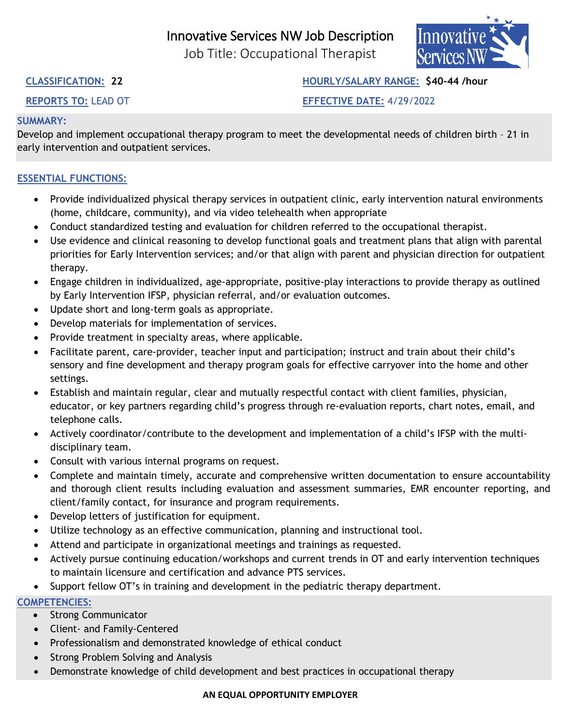# Innovative Services NW Job Description

Job Title: Occupational Therapist



**CLASSIFICATION: 22 HOURLY/SALARY RANGE: \$40-44 /hour**

**REPORTS TO:** LEAD OT **EFFECTIVE DATE:** 4/29/2022

# **SUMMARY:**

Develop and implement occupational therapy program to meet the developmental needs of children birth – 21 in early intervention and outpatient services.

# **ESSENTIAL FUNCTIONS:**

- Provide individualized physical therapy services in outpatient clinic, early intervention natural environments (home, childcare, community), and via video telehealth when appropriate
- Conduct standardized testing and evaluation for children referred to the occupational therapist.
- Use evidence and clinical reasoning to develop functional goals and treatment plans that align with parental priorities for Early Intervention services; and/or that align with parent and physician direction for outpatient therapy.
- Engage children in individualized, age-appropriate, positive-play interactions to provide therapy as outlined by Early Intervention IFSP, physician referral, and/or evaluation outcomes.
- Update short and long-term goals as appropriate.
- Develop materials for implementation of services.
- Provide treatment in specialty areas, where applicable.
- Facilitate parent, care-provider, teacher input and participation; instruct and train about their child's sensory and fine development and therapy program goals for effective carryover into the home and other settings.
- Establish and maintain regular, clear and mutually respectful contact with client families, physician, educator, or key partners regarding child's progress through re-evaluation reports, chart notes, email, and telephone calls.
- Actively coordinator/contribute to the development and implementation of a child's IFSP with the multidisciplinary team.
- Consult with various internal programs on request.
- Complete and maintain timely, accurate and comprehensive written documentation to ensure accountability and thorough client results including evaluation and assessment summaries, EMR encounter reporting, and client/family contact, for insurance and program requirements.
- Develop letters of justification for equipment.
- Utilize technology as an effective communication, planning and instructional tool.
- Attend and participate in organizational meetings and trainings as requested.
- Actively pursue continuing education/workshops and current trends in OT and early intervention techniques to maintain licensure and certification and advance PTS services.
- Support fellow OT's in training and development in the pediatric therapy department.

# **COMPETENCIES:**

- Strong Communicator
- Client- and Family-Centered
- Professionalism and demonstrated knowledge of ethical conduct
- Strong Problem Solving and Analysis
- Demonstrate knowledge of child development and best practices in occupational therapy

### **AN EQUAL OPPORTUNITY EMPLOYER**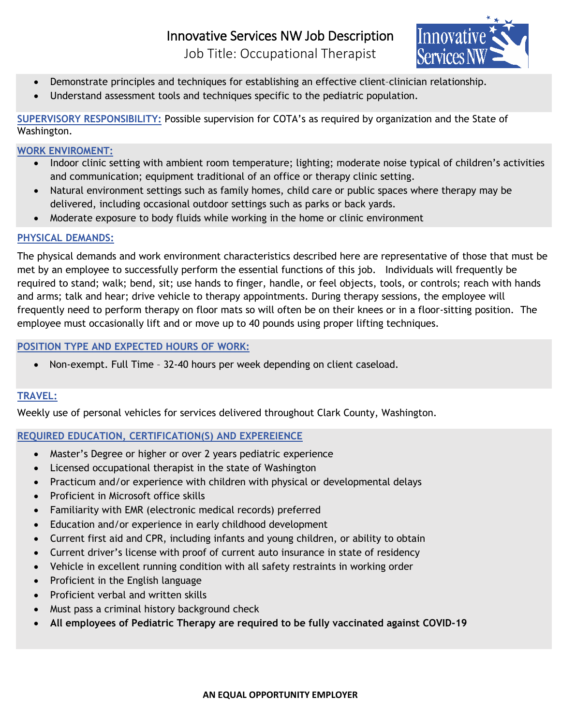Innovative

- Demonstrate principles and techniques for establishing an effective client-clinician relationship.
- Understand assessment tools and techniques specific to the pediatric population.

**SUPERVISORY RESPONSIBILITY:** Possible supervision for COTA's as required by organization and the State of Washington.

#### **WORK ENVIROMENT:**

- Indoor clinic setting with ambient room temperature; lighting; moderate noise typical of children's activities and communication; equipment traditional of an office or therapy clinic setting.
- Natural environment settings such as family homes, child care or public spaces where therapy may be delivered, including occasional outdoor settings such as parks or back yards.
- Moderate exposure to body fluids while working in the home or clinic environment

### **PHYSICAL DEMANDS:**

The physical demands and work environment characteristics described here are representative of those that must be met by an employee to successfully perform the essential functions of this job. Individuals will frequently be required to stand; walk; bend, sit; use hands to finger, handle, or feel objects, tools, or controls; reach with hands and arms; talk and hear; drive vehicle to therapy appointments. During therapy sessions, the employee will frequently need to perform therapy on floor mats so will often be on their knees or in a floor-sitting position. The employee must occasionally lift and or move up to 40 pounds using proper lifting techniques.

# **POSITION TYPE AND EXPECTED HOURS OF WORK:**

• Non-exempt. Full Time – 32-40 hours per week depending on client caseload.

# **TRAVEL:**

Weekly use of personal vehicles for services delivered throughout Clark County, Washington.

### **REQUIRED EDUCATION, CERTIFICATION(S) AND EXPEREIENCE**

- Master's Degree or higher or over 2 years pediatric experience
- Licensed occupational therapist in the state of Washington
- Practicum and/or experience with children with physical or developmental delays
- Proficient in Microsoft office skills
- Familiarity with EMR (electronic medical records) preferred
- Education and/or experience in early childhood development
- Current first aid and CPR, including infants and young children, or ability to obtain
- Current driver's license with proof of current auto insurance in state of residency
- Vehicle in excellent running condition with all safety restraints in working order
- Proficient in the English language
- Proficient verbal and written skills
- Must pass a criminal history background check
- **All employees of Pediatric Therapy are required to be fully vaccinated against COVID-19**